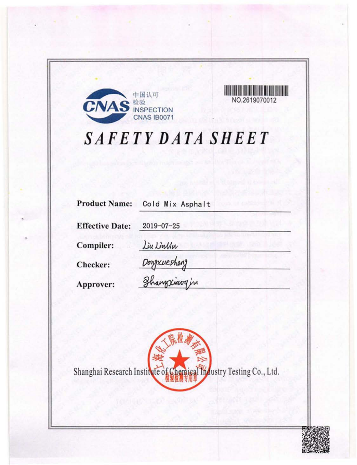



# SAFETY DATA SHEET

| <b>Product Name:</b>   | Cold Mix Asphalt |
|------------------------|------------------|
| <b>Effective Date:</b> | $2019 - 07 - 25$ |
| Compiler:              | Liu Linlin       |
| Checker:               | Dongxuesheng     |
| Approver:              | Thangxiavy in    |

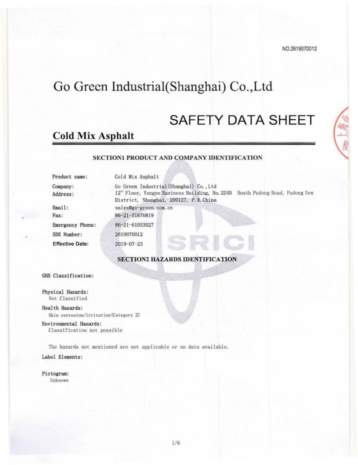## Go Green Industrial(Shanghai) Co., Ltd

## **SAFETY DATA SHEET**

## **Cold Mix Asphalt**

## SECTION1 PRODUCT AND COMPANY IDENTIFICATION

| Cold Mix Asphalt                                                                                                                                                   |
|--------------------------------------------------------------------------------------------------------------------------------------------------------------------|
| Go Green Industrial (Shanghai) Co., Ltd<br>South Pudong Road, Pudong New<br>12" Floor, Yongye Business Building, No. 2240<br>District, Shanghai, 200127, P.R.China |
| sales@go-green.com.cn                                                                                                                                              |
| 86-21-51876819                                                                                                                                                     |
| 86-21-61053027                                                                                                                                                     |
| 2619070012                                                                                                                                                         |
| $2019 - 07 - 25$                                                                                                                                                   |
|                                                                                                                                                                    |

**SECTION2 HAZARDS IDENTIFICATION** 

GHS Classification:

Physical Hazards: Not Classified

Health Hazards:

Skin corrosion/irritation(Category 2)

Environmental Hazards:

Classification not possible

The hazards not mentioned are not applicable or no data available. Label Elements:

Pictogram: Unknown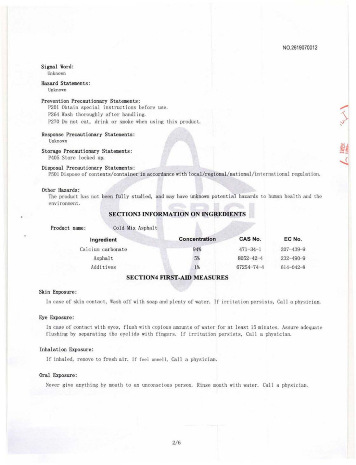## Signal Word:

Unknown

Hazard Statements:

Unknown

#### Prevention Precautionary Statements:

P201 Obtain special instructions before use. P264 Wash thoroughly after handling. P270 Do not eat, drink or smoke when using this product.

## Response Precautionary Statements:

Unknown

Storage Precautionary Statements:

P405 Store locked up.

## Disposal Precautionary Statements:

P501 Dispose of contents/container in accordance with local/regional/national/international regulation.

#### Other Hazards:

The product has not been fully studied, and may have unknown potential hazards to human health and the environment.

## **SECTION3 INFORMATION ON INGREDIENTS**

| Product name: |  |  |
|---------------|--|--|
|---------------|--|--|

Cold Mix Asphalt

| Ingredient        | Concentration | CAS No.          | EC No.          |
|-------------------|---------------|------------------|-----------------|
| Calcium carbonate | 94%           | $471 - 34 - 1$   | $207 - 439 - 9$ |
| Asphalt           | 5%            | $8052 - 42 - 4$  | $232 - 490 - 9$ |
| Additives         | 1%            | $67254 - 74 - 4$ | 614-042-8       |

## **SECTION4 FIRST-AID MEASURES**

#### Skin Exposure:

In case of skin contact, Wash off with soap and plenty of water. If irritation persists, Call a physician.

#### Eye Exposure:

In case of contact with eyes, flush with copious amounts of water for at least 15 minutes. Assure adequate flushing by separating the eyelids with fingers. If irritation persists, Call a physician.

## Inhalation Exposure:

If inhaled, remove to fresh air. If feel unwell, Call a physician.

## Oral Exposure:

Never give anything by mouth to an unconscious person. Rinse mouth with water. Call a physician.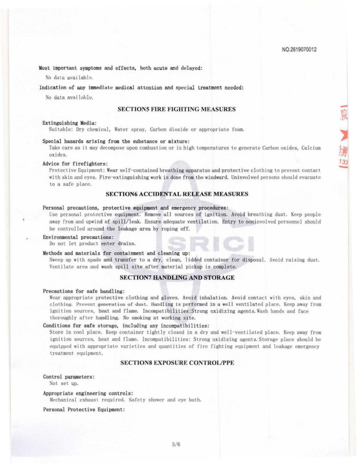編13)

Most important symptoms and effects, both acute and delayed:

No data available.

Indication of any immediate medical attention and special treatment needed:

No data available.

## **SECTION5 FIRE FIGHTING MEASURES**

#### Extinguishing Media:

Suitable: Dry chemical, Water spray, Carbon dioxide or appropriate foam.

#### Special hazards arising from the substance or mixture:

Take care as it may decompose upon combustion or in high temperatures to generate Carbon oxides. Calcium oxides.

#### Advice for firefighters:

Protective Equipment: Wear self-contained breathing apparatus and protective clothing to prevent contact with skin and eyes. Fire-extinguishing work is done from the windward. Uninvolved persons should evacuate to a safe place.

## **SECTION6 ACCIDENTAL RELEASE MEASURES**

#### Personal precautions, protective equipment and emergency procedures:

Use personal protective equipment. Remove all sources of ignition. Avoid breathing dust. Keep people away from and upwind of spill/leak. Ensure adequate ventilation. Entry to noninvolved personnel should be controlled around the leakage area by roping off.

#### Environmental precautions:

Do not let product enter drains.

## Methods and materials for containment and cleaning up:

Sweep up with spade and transfer to a dry, clean, lidded container for disposal. Avoid raising dust. Ventilate area and wash spill site after material pickup is complete.

## **SECTION7 HANDLING AND STORAGE**

#### Precautions for safe handling:

Wear appropriate protective clothing and gloves. Avoid inhalation. Avoid contact with eyes, skin and clothing. Provent generation of dust. Handling is performed in a well ventilated place. Keep away from ignition sources, heat and flame. Incompatibilities: Strong oxidizing agents. Wash hands and face thoroughly after handling. No smoking at working site.

## Conditions for safe storage, including any incompatibilities:

Store in cool place. Keep container tightly closed in a dry and well-ventilated place. Keep away from ignition sources, heat and flame. Incompatibilities: Strong oxidizing agents. Storage place should be equipped with appropriate varieties and quantities of fire fighting equipment and leakage emergency treatment equipment.

## **SECTIONS EXPOSURE CONTROL/PPE**

#### Control parameters:

Not set up.

#### Appropriate engineering controls:

Mechanical exhaust required. Safety shower and eye bath.

Personal Protective Equipment: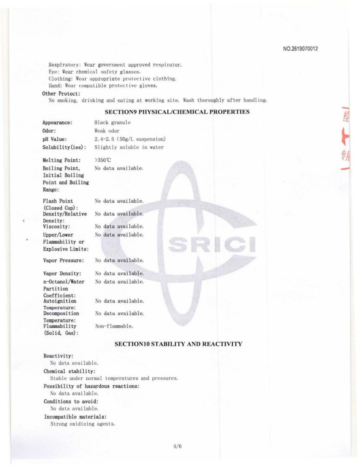Respiratory: Wear government approved respirator. Eye: Wear chemical safety glasses. Clothing: Wear appropriate protective clothing. Hand: Wear compatible protective gloves.

## Other Protect:

No smoking, drinking and eating at working site. Wash thoroughly after handling.

## **SECTION9 PHYSICAL/CHEMICAL PROPERTIES**

| Appearance:      | Black granule                |  |
|------------------|------------------------------|--|
| Odor:            | Weak odor                    |  |
| pH Value:        | $2.4-2.5$ (50g/L suspension) |  |
| Solubility(ies): | Slightly soluble in water    |  |

Melting Point: >350°C Boiling Point, Initial Boiling Point and Boiling Range:

Flash Point (Closed Cup): Density/Relative Density: Viscosity: Upper/Lower Flammability or Explosive Limits: No data available.

No data available. No data available.

No data available. No data available.

Vapor Pressure:

Vapor Density: n-Octanol/Water Partition Coefficient: Autoignition Temperature: Decomposition Temperature: Flammability (Solid, Gas):

No data available.

No data available. No data available.

No data available.

No data available.

Non-flammable.

## **SECTION10 STABILITY AND REACTIVITY**

SRICI

## Reactivity:

No data available.

#### Chemical stability:

Stable under normal temperatures and pressures.

## Possibility of hazardous reactions:

No data available.

## Conditions to avoid:

No data available.

## Incompatible materials:

Strong oxidizing agents.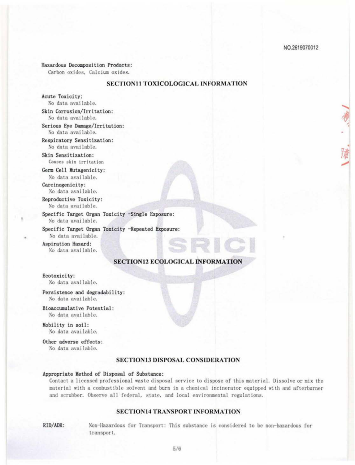#### Hazardous Decomposition Products:

Carbon oxides, Calcium oxides.

## SECTION11 TOXICOLOGICAL INFORMATION

Acute Toxicity: No data available.

Skin Corrosion/Irritation: No data available.

Serious Eye Damage/Irritation: No data available.

Respiratory Sensitization: No data available.

Skin Sensitization: Causes skin irritation

Germ Cell Mutagenicity: No data available.

Carcinogenicity: No data available.

Reproductive Toxicity:

No data available.

Specific Target Organ Toxicity -Single Exposure:

No data available.

Specific Target Organ Toxicity -Repeated Exposure:

No data available.

Aspiration Hazard: No data available.

## **SECTION12 ECOLOGICAL INFORMATION**

SRICI

#### Ecotoxicity:

No data available.

Persistence and degradability: No data available.

Bioaccumulative Potential: No data available.

Mobility in soil: No data available.

Other adverse effects:

No data available.

## **SECTION13 DISPOSAL CONSIDERATION**

## Appropriate Method of Disposal of Substance:

Contact a licensed professional waste disposal service to dispose of this material. Dissolve or mix the material with a combustible solvent and burn in a chemical incinerator equipped with and afterburner and scrubber. Observe all federal, state, and local environmental regulations.

## **SECTION14 TRANSPORT INFORMATION**

RID/ADR: Non-Hazardous for Transport: This substance is considered to be non-hazardous for transport.